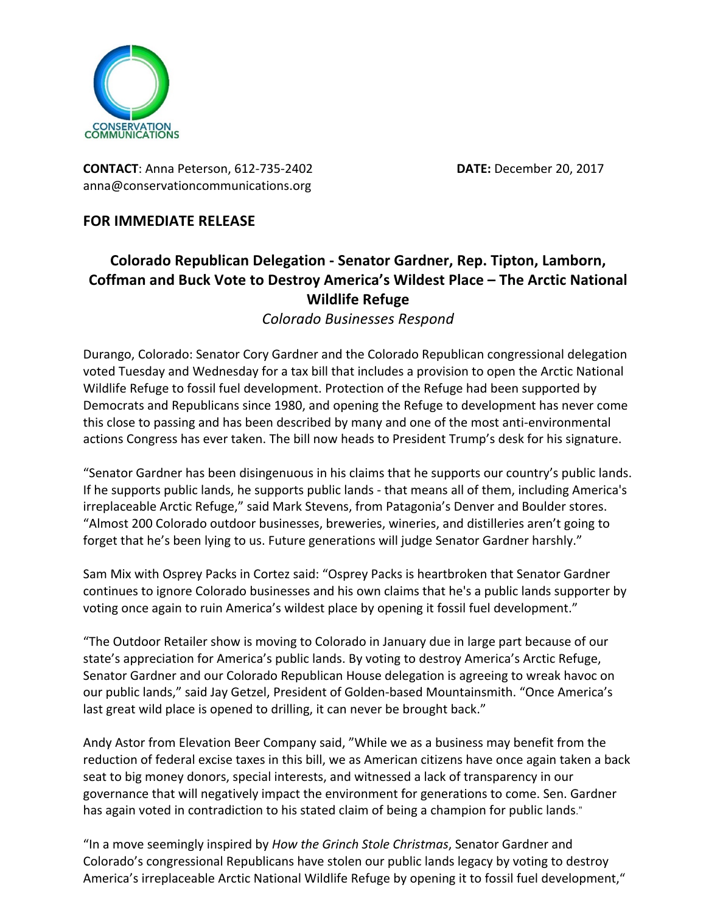

**CONTACT**: Anna Peterson, 612-735-2402 **DATE:** December 20, 2017 anna@conservationcommunications.org

## **FOR IMMEDIATE RELEASE**

## **Colorado Republican Delegation - Senator Gardner, Rep. Tipton, Lamborn, Coffman and Buck Vote to Destroy America's Wildest Place – The Arctic National Wildlife Refuge**

*Colorado Businesses Respond*

Durango, Colorado: Senator Cory Gardner and the Colorado Republican congressional delegation voted Tuesday and Wednesday for a tax bill that includes a provision to open the Arctic National Wildlife Refuge to fossil fuel development. Protection of the Refuge had been supported by Democrats and Republicans since 1980, and opening the Refuge to development has never come this close to passing and has been described by many and one of the most anti-environmental actions Congress has ever taken. The bill now heads to President Trump's desk for his signature.

"Senator Gardner has been disingenuous in his claims that he supports our country's public lands. If he supports public lands, he supports public lands - that means all of them, including America's irreplaceable Arctic Refuge," said Mark Stevens, from Patagonia's Denver and Boulder stores. "Almost 200 Colorado outdoor businesses, breweries, wineries, and distilleries aren't going to forget that he's been lying to us. Future generations will judge Senator Gardner harshly."

Sam Mix with Osprey Packs in Cortez said: "Osprey Packs is heartbroken that Senator Gardner continues to ignore Colorado businesses and his own claims that he's a public lands supporter by voting once again to ruin America's wildest place by opening it fossil fuel development."

"The Outdoor Retailer show is moving to Colorado in January due in large part because of our state's appreciation for America's public lands. By voting to destroy America's Arctic Refuge, Senator Gardner and our Colorado Republican House delegation is agreeing to wreak havoc on our public lands," said Jay Getzel, President of Golden-based Mountainsmith. "Once America's last great wild place is opened to drilling, it can never be brought back."

Andy Astor from Elevation Beer Company said, "While we as a business may benefit from the reduction of federal excise taxes in this bill, we as American citizens have once again taken a back seat to big money donors, special interests, and witnessed a lack of transparency in our governance that will negatively impact the environment for generations to come. Sen. Gardner has again voted in contradiction to his stated claim of being a champion for public lands."

"In a move seemingly inspired by *How the Grinch Stole Christmas*, Senator Gardner and Colorado's congressional Republicans have stolen our public lands legacy by voting to destroy America's irreplaceable Arctic National Wildlife Refuge by opening it to fossil fuel development,"